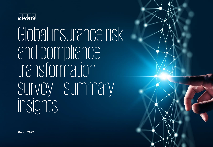

Global insurance risk and compliance transformation survey – summary insights

**March 2022**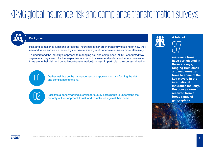# KPMG global insurance risk and compliance transformation surveys

## **Background**

Risk and compliance functions across the insurance sector are increasingly focusing on how they can add value and utilize technology to drive efficiency and undertake activities more effectively.

To understand the industry's approach to managing risk and compliance, KPMG conducted two separate surveys, each for the respective functions, to assess and understand where insurance firms are in their risk and compliance transformation journeys. In particular, the surveys aimed to:

> Gather insights on the insurance sector's approach to transforming the risk and compliance functions.

Facilitate a benchmarking exercise for survey participants to understand the maturity of their approach to risk and compliance against their peers.





**insurance firms have participated in these surveys, ranging from small and medium-sized firms to some of the key players in the international insurance industry. Responses were received from a broad range of geographies.**

2



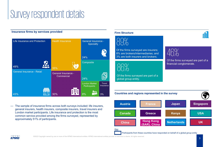## Survey respondent details

## **Insurance firms by services provided**



— The sample of insurance firms across both surveys included: life insurers, general insurers, health insurers, composite insurers, travel insurers and London market participants. Life insurance and protection is the most common service provided among the firms surveyed, represented by approximately 51% of participants.

## **Firm Structure**



Of the firms surveyed are insurers; 8% are brokers/intermediaries; and 3% are both insurers and brokers.

86%

Of the firms surveyed are part of a global group entity.



Of the firms surveyed are part of a financial conglomerate.



Participants from these countries have responded on behalf of a global group entity

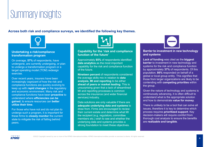## Summary insights

**Across both risk and compliance surveys, we identified the following key themes.**



## **Undertaking a risk/compliance transformation program**

On average, **57%** of respondents, have undergone, are currently undergoing, or plan to undergo a transformation program or a target operating model (TOM) redesign exercise.

Over recent years, insurers have been increasingly cognizant of how the risk and compliance functions are quickly evolving to keep up with **rapid changes** in the regulatory and economic environment. Many risk and compliance functions have been **proactive** to understand where **efficiencies can be gained**, to ensure resources can **better utilize their time**.

For those who have not and do not plan to undergo such a program, it is important for these firms to **closely monitor** the current state to mitigate the risk of falling behind peers.



## **Capability for the 'risk and compliance function of the future'**

Approximately **85%** of respondents identified **data analytics** as the most important capability for the risk and compliance function of the future.

**Nineteen percent** of respondents considered the average skills mix in relation to **data analysis, MI and reporting** to be either **ahead of peers or market leading**. This is unsurprising given that a lack of streamlined MI and reporting processes is common across the insurance (and wider financial services) industry.

Data solutions are only valuable if there are **adequate underlying data and systems** to draw from. Firms are encouraged to review their current estate and determine what MI the recipient (e.g. regulators, committee members etc.) wish to see and whether the underlying data and systems provides a strong foundation to meet these objectives.

## **Barrier to investment in new technology and systems**

**Lack of funding** was cited as the **biggest barrier** to investment in new technology and systems for the risk and compliance function by approximately **37%** of respondents. Of this population, **86%** responded on behalf of a global or local group entity. This signifies that those from larger organizations are likely to be contending with **competing priorities** within the group.

Given the nature of technology and systems is continuously advancing, it is often difficult to understand what is the appropriate solution and how to demonstrate **value for money**.

There is unlikely to be a tool that can solve all issues, therefore it is key to determine which process requires **prioritized support**. Key decision-makers will require comfort from thorough cost analysis to ensure the benefits are **realizable and tangible**.

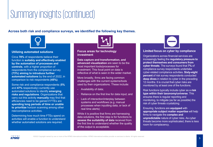## Summary insights (continued)

**Across both risk and compliance surveys, we identified the following key themes.**



## **Utilizing automated solutions**

Circa **78%** of respondents believe their function is **suitably and effectively enabled by the automation of processes and controls**, with a higher proportion of respondents from the compliance survey **(73%) aiming to introduce further automated solutions** by the end of 2022, in comparison to risk respondents **(45%)**.

Some risk and compliance respondents (**5%**  and **47%** respectively) currently use automated solutions to identify **emerging risks and regulations**. Organizations that carry out this activity **manually** may find that efficiencies need to be gained if FTEs are **spending long periods of time or unable to prioritize** horizon scanning among other risk/compliance activities.

Determining how much time FTEs spend on activities will enable a function to understand whether automated solutions are required.



### **Focus areas for technology investment**

**Data capture and transformation, and advanced visualization** are seen to be the most important tools/processes for investment. This focal point on data is reflective of what is seen in the wider market.

More broadly, firms are facing common challenges with the current systems/tools used by their organizations. These include:

- Availability of data;
- Reliance on the first line for data input; and
- Lack of interaction/interplay between systems and workflows (e.g. manual processes when inputting data, or lack of real time alerts)

While it is positive that firms are harnessing data solutions, the first step is for functions to **assess the suitability of data** received from the first line to understand whether the quality of the output is acceptable.

## **Limited focus on cyber by compliance**

Organizations across financial services are increasingly feeling the **regulatory pressure to protect themselves and consumers from cyber threats**. The surveys found that **7%** of compliance survey respondents undertake cyber-related compliance activities. **Sixty-eight percent** of risk survey respondents conducted **deep dives** in relation to cyber in the preceding 12 months. It is crucial that cyber risks are monitored by at least one of the functions.

Risk functions typically include cyber as a **risk type within their taxonomy/universe**. This ensures there is regular reporting and monitoring, to mitigate (as far as possible) the risk of cyber threats crystalizing.

Ensuring functions are **equipped** with **appropriate subject matter expertise** will help firms to navigate the **complex and unpredictable** nature of cyber risks. As cyber threats become more sophisticated, there is less room for complacency.